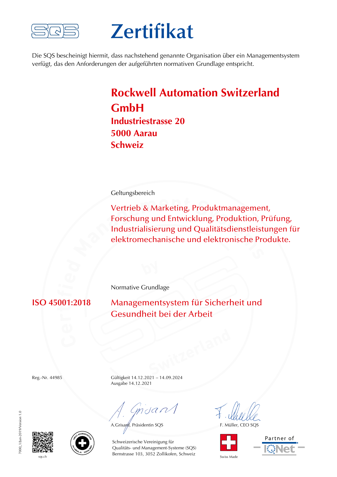

## **Zertifikat**

Die SQS bescheinigt hiermit, dass nachstehend genannte Organisation über ein Managementsystem verfügt, das den Anforderungen der aufgeführten normativen Grundlage entspricht.

## **Rockwell Automation Switzerland GmbH Industriestrasse 20 5000 Aarau Schweiz**

Geltungsbereich

Vertrieb & Marketing, Produktmanagement, Forschung und Entwicklung, Produktion, Prüfung, Industrialisierung und Qualitätsdienstleistungen für elektromechanische und elektronische Produkte.

Normative Grundlage

**ISO 45001:2018** Managementsystem für Sicherheit und Gesundheit bei der Arbeit

Reg.-Nr. 44985 Gültigkeit 14.12.2021 – 14.09.2024 Ausgabe 14.12.2021

Cmdan

A.Grisard, Präsidentin SQS F. Müller, CEO SQS



Partner of





sqs.ch Swiss Made Bernstrasse 103, 3052 Zollikofen, Schweiz Swiss Made Schweizerische Vereinigung für Qualitäts- und Management-Systeme (SQS)